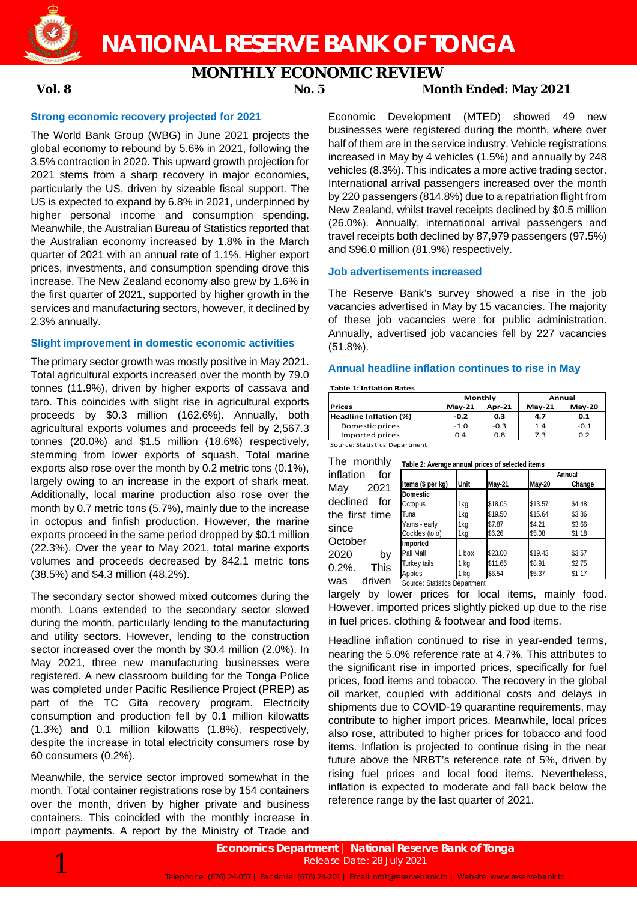

# **NATIONAL RESERVE BANK OF TONGA**

# **MONTHLY ECONOMIC REVIEW**

# **Vol. 8 No. 5 Month Ended: May 2021**

## **Strong economic recovery projected for 2021**

The World Bank Group (WBG) in June 2021 projects the global economy to rebound by 5.6% in 2021, following the 3.5% contraction in 2020. This upward growth projection for 2021 stems from a sharp recovery in major economies, particularly the US, driven by sizeable fiscal support. The US is expected to expand by 6.8% in 2021, underpinned by higher personal income and consumption spending. Meanwhile, the Australian Bureau of Statistics reported that the Australian economy increased by 1.8% in the March quarter of 2021 with an annual rate of 1.1%. Higher export prices, investments, and consumption spending drove this increase. The New Zealand economy also grew by 1.6% in the first quarter of 2021, supported by higher growth in the services and manufacturing sectors, however, it declined by 2.3% annually.

## **Slight improvement in domestic economic activities**

The primary sector growth was mostly positive in May 2021. Total agricultural exports increased over the month by 79.0 tonnes (11.9%), driven by higher exports of cassava and taro. This coincides with slight rise in agricultural exports proceeds by \$0.3 million (162.6%). Annually, both agricultural exports volumes and proceeds fell by 2,567.3 tonnes (20.0%) and \$1.5 million (18.6%) respectively, stemming from lower exports of squash. Total marine exports also rose over the month by 0.2 metric tons (0.1%), largely owing to an increase in the export of shark meat. Additionally, local marine production also rose over the month by 0.7 metric tons (5.7%), mainly due to the increase in octopus and finfish production. However, the marine exports proceed in the same period dropped by \$0.1 million (22.3%). Over the year to May 2021, total marine exports volumes and proceeds decreased by 842.1 metric tons (38.5%) and \$4.3 million (48.2%).

The secondary sector showed mixed outcomes during the month. Loans extended to the secondary sector slowed during the month, particularly lending to the manufacturing and utility sectors. However, lending to the construction sector increased over the month by \$0.4 million (2.0%). In May 2021, three new manufacturing businesses were registered. A new classroom building for the Tonga Police was completed under Pacific Resilience Project (PREP) as part of the TC Gita recovery program. Electricity consumption and production fell by 0.1 million kilowatts (1.3%) and 0.1 million kilowatts (1.8%), respectively, despite the increase in total electricity consumers rose by 60 consumers (0.2%).

Meanwhile, the service sector improved somewhat in the month. Total container registrations rose by 154 containers over the month, driven by higher private and business containers. This coincided with the monthly increase in import payments. A report by the Ministry of Trade and

Economic Development (MTED) showed 49 new businesses were registered during the month, where over half of them are in the service industry. Vehicle registrations increased in May by 4 vehicles (1.5%) and annually by 248 vehicles (8.3%). This indicates a more active trading sector. International arrival passengers increased over the month by 220 passengers (814.8%) due to a repatriation flight from New Zealand, whilst travel receipts declined by \$0.5 million (26.0%). Annually, international arrival passengers and travel receipts both declined by 87,979 passengers (97.5%) and \$96.0 million (81.9%) respectively.

## **Job advertisements increased**

The Reserve Bank's survey showed a rise in the job vacancies advertised in May by 15 vacancies. The majority of these job vacancies were for public administration. Annually, advertised job vacancies fell by 227 vacancies (51.8%).

## **Annual headline inflation continues to rise in May**

#### **Table 1: Inflation Rates**

**Prices May-21 Apr-21 May-21 May-20 Headline Inflation (%)**  $-0.2$   $-0.3$   $-0.3$   $-1.4$   $-0.1$ <br>Domestic prices  $-1.0$   $-0.3$   $-1.4$   $-0.1$ Domestic prices -1.0 -0.3<br>Imported prices 0.4 0.8 Imported prices 0.4 0.8 7.3 0.2 **Monthly Annual**

Source: Statistics Department

| The monthly       | Table 2: Average annual prices of selected items |       |         |         |        |  |  |  |
|-------------------|--------------------------------------------------|-------|---------|---------|--------|--|--|--|
| inflation<br>for  |                                                  |       |         | Annual  |        |  |  |  |
| 2021<br>May       | Items (\$ per kg)                                | Unit  | May-21  | May-20  | Change |  |  |  |
|                   | <b>Domestic</b>                                  |       |         |         |        |  |  |  |
| declined<br>for   | Octopus                                          | 1kg   | \$18.05 | \$13.57 | \$4.48 |  |  |  |
| the first time    | Tuna                                             | 1kg   | \$19.50 | \$15.64 | \$3.86 |  |  |  |
| since             | Yams - early                                     | 1kg   | \$7.87  | \$4.21  | \$3.66 |  |  |  |
| October           | Cockles (to'o)                                   | 1kg   | \$6.26  | \$5.08  | \$1.18 |  |  |  |
|                   | Imported                                         |       |         |         |        |  |  |  |
| 2020<br>by        | Pall Mall                                        | 1 hox | \$23.00 | \$19.43 | \$3.57 |  |  |  |
| This<br>$0.2\%$ . | Turkey tails                                     | 1 kg  | \$11.66 | \$8.91  | \$2.75 |  |  |  |
|                   | Apples                                           | 1 kg  | \$6.54  | \$5.37  | \$1.17 |  |  |  |
| driven<br>was     | Source: Statistics Department                    |       |         |         |        |  |  |  |

largely by lower prices for local items, mainly food. However, imported prices slightly picked up due to the rise in fuel prices, clothing & footwear and food items.

Headline inflation continued to rise in year-ended terms, nearing the 5.0% reference rate at 4.7%. This attributes to the significant rise in imported prices, specifically for fuel prices, food items and tobacco. The recovery in the global oil market, coupled with additional costs and delays in shipments due to COVID-19 quarantine requirements, may contribute to higher import prices. Meanwhile, local prices also rose, attributed to higher prices for tobacco and food items. Inflation is projected to continue rising in the near future above the NRBT's reference rate of 5%, driven by rising fuel prices and local food items. Nevertheless, inflation is expected to moderate and fall back below the reference range by the last quarter of 2021.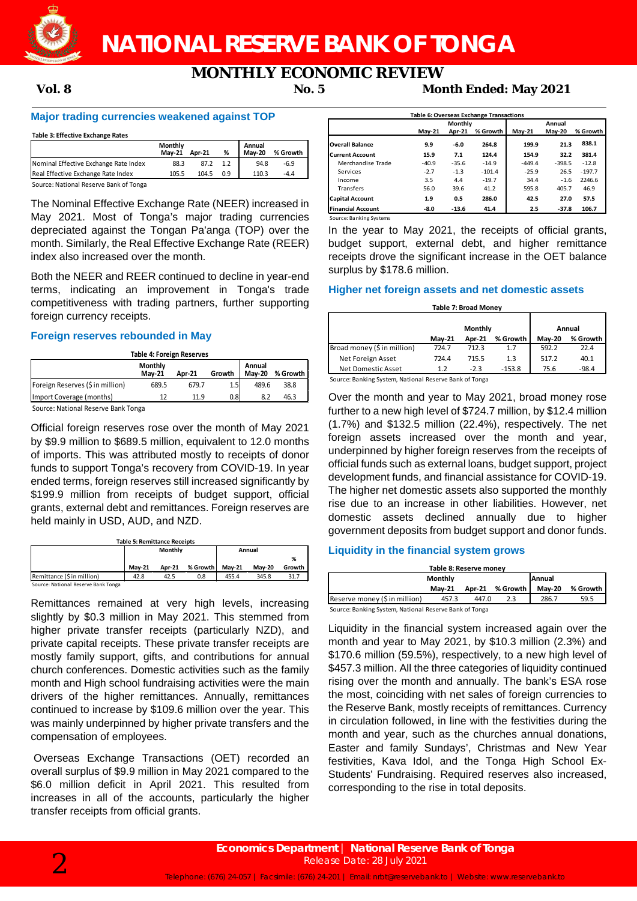

# **MONTHLY ECONOMIC REVIEW**<br>Mor 5 Mor

**Vol. 8 No. 5 Month Ended: May 2021**

# **Major trading currencies weakened against TOP**

#### **Table 3: Effective Exchange Rates**

|                                        | Monthly<br><b>Mav-21</b> | <b>Apr-21</b> | %   | Annual<br><b>Mav-20</b> | % Growth |
|----------------------------------------|--------------------------|---------------|-----|-------------------------|----------|
| Nominal Effective Exchange Rate Index  | 88.3                     | 87.2          | 1.2 | 94.8                    | $-6.9$   |
| Real Effective Exchange Rate Index     | 105.5                    | 104.5         | 0.9 | 110.3                   | $-4.4$   |
| Source: National Reserve Bank of Tonga |                          |               |     |                         |          |

The Nominal Effective Exchange Rate (NEER) increased in May 2021. Most of Tonga's major trading currencies depreciated against the Tongan Pa'anga (TOP) over the month. Similarly, the Real Effective Exchange Rate (REER) index also increased over the month.

Both the NEER and REER continued to decline in year-end terms, indicating an improvement in Tonga's trade competitiveness with trading partners, further supporting foreign currency receipts.

### **Foreign reserves rebounded in May**

| <b>Table 4: Foreign Reserves</b>                                                           |       |       |     |       |      |  |  |  |
|--------------------------------------------------------------------------------------------|-------|-------|-----|-------|------|--|--|--|
| Monthly<br>Annual<br>% Growth<br><b>Mav-20</b><br>Growth<br><b>Mav-21</b><br><b>Apr-21</b> |       |       |     |       |      |  |  |  |
| Foreign Reserves (\$ in million)                                                           | 689.5 | 679.7 | 1.5 | 489.6 | 38.8 |  |  |  |
| Import Coverage (months)                                                                   | 12    | 11.9  | 0.8 | 8.2   | 46.3 |  |  |  |
| Cource: National Pecenic Pank Tonga                                                        |       |       |     |       |      |  |  |  |

Source: National Reserve Bank Tonga

Official foreign reserves rose over the month of May 2021 by \$9.9 million to \$689.5 million, equivalent to 12.0 months of imports. This was attributed mostly to receipts of donor funds to support Tonga's recovery from COVID-19. In year ended terms, foreign reserves still increased significantly by \$199.9 million from receipts of budget support, official grants, external debt and remittances. Foreign reserves are held mainly in USD, AUD, and NZD.

| <b>Table 5: Remittance Receipts</b> |               |         |          |               |               |        |  |  |  |
|-------------------------------------|---------------|---------|----------|---------------|---------------|--------|--|--|--|
|                                     |               | Monthly |          | Annual        |               |        |  |  |  |
|                                     |               |         |          |               |               | %      |  |  |  |
|                                     | <b>Mav-21</b> | Apr-21  | % Growth | <b>Mav-21</b> | <b>Mav-20</b> | Growth |  |  |  |
| Remittance (S in million)           | 42.8          | 42.5    | 0.8      | 455.4         | 345.8         | 31.7   |  |  |  |
| Source: National Reserve Bank Tonga |               |         |          |               |               |        |  |  |  |

Remittances remained at very high levels, increasing slightly by \$0.3 million in May 2021. This stemmed from higher private transfer receipts (particularly NZD), and private capital receipts. These private transfer receipts are mostly family support, gifts, and contributions for annual church conferences. Domestic activities such as the family month and High school fundraising activities were the main drivers of the higher remittances. Annually, remittances continued to increase by \$109.6 million over the year. This was mainly underpinned by higher private transfers and the compensation of employees.

Overseas Exchange Transactions (OET) recorded an overall surplus of \$9.9 million in May 2021 compared to the \$6.0 million deficit in April 2021. This resulted from increases in all of the accounts, particularly the higher transfer receipts from official grants.

| Table 6: Overseas Exchange Transactions |               |         |          |          |               |          |  |  |
|-----------------------------------------|---------------|---------|----------|----------|---------------|----------|--|--|
|                                         | Monthly       |         |          | Annual   |               |          |  |  |
|                                         | <b>Mav-21</b> | Apr-21  | % Growth | $May-21$ | <b>Mav-20</b> | % Growth |  |  |
| <b>Overall Balance</b>                  | 9.9           | $-6.0$  | 264.8    | 199.9    | 21.3          | 838.1    |  |  |
| <b>Current Account</b>                  | 15.9          | 7.1     | 124.4    | 154.9    | 32.2          | 381.4    |  |  |
| Merchandise Trade                       | $-40.9$       | $-35.6$ | $-14.9$  | $-449.4$ | $-398.5$      | $-12.8$  |  |  |
| Services                                | $-2.7$        | $-1.3$  | $-101.4$ | $-25.9$  | 26.5          | $-197.7$ |  |  |
| Income                                  | 3.5           | 4.4     | $-19.7$  | 34.4     | $-1.6$        | 2246.6   |  |  |
| <b>Transfers</b>                        | 56.0          | 39.6    | 41.2     | 595.8    | 405.7         | 46.9     |  |  |
| <b>Capital Account</b>                  | 1.9           | 0.5     | 286.0    | 42.5     | 27.0          | 57.5     |  |  |
| <b>Financial Account</b>                | $-8.0$        | $-13.6$ | 41.4     | 2.5      | $-37.8$       | 106.7    |  |  |

Source: Banking Systems

In the year to May 2021, the receipts of official grants, budget support, external debt, and higher remittance receipts drove the significant increase in the OET balance surplus by \$178.6 million.

# **Higher net foreign assets and net domestic assets**

### **Table 7: Broad Money May-21 Apr-21 % Growth May-20 % Growth** Broad money (\$ in million) Net Foreign Asset 724.4 715.5 1.3 517.2 40.1 Net Domestic Asset 1.2 -2.3 -153.8 75.6 -98.4 **Monthly Annual**

Source: Banking System, National Reserve Bank of Tonga

Over the month and year to May 2021, broad money rose further to a new high level of \$724.7 million, by \$12.4 million (1.7%) and \$132.5 million (22.4%), respectively. The net foreign assets increased over the month and year, underpinned by higher foreign reserves from the receipts of official funds such as external loans, budget support, project development funds, and financial assistance for COVID-19. The higher net domestic assets also supported the monthly rise due to an increase in other liabilities. However, net domestic assets declined annually due to higher government deposits from budget support and donor funds.

# **Liquidity in the financial system grows**

| Table 8: Reserve money                                 |               |        |          |               |          |  |  |  |
|--------------------------------------------------------|---------------|--------|----------|---------------|----------|--|--|--|
| <b>Annual</b><br><b>Monthly</b>                        |               |        |          |               |          |  |  |  |
|                                                        | <b>Mav-21</b> | Apr-21 | % Growth | <b>Mav-20</b> | % Growth |  |  |  |
| Reserve money (\$ in million)                          | 457.3         | 447.0  | 2.3      | 286.7         | 59.5     |  |  |  |
| Source: Banking System, National Reserve Bank of Tonga |               |        |          |               |          |  |  |  |

Liquidity in the financial system increased again over the month and year to May 2021, by \$10.3 million (2.3%) and \$170.6 million (59.5%), respectively, to a new high level of \$457.3 million. All the three categories of liquidity continued rising over the month and annually. The bank's ESA rose the most, coinciding with net sales of foreign currencies to the Reserve Bank, mostly receipts of remittances. Currency in circulation followed, in line with the festivities during the month and year, such as the churches annual donations, Easter and family Sundays', Christmas and New Year festivities, Kava Idol, and the Tonga High School Ex-Students' Fundraising. Required reserves also increased, corresponding to the rise in total deposits.